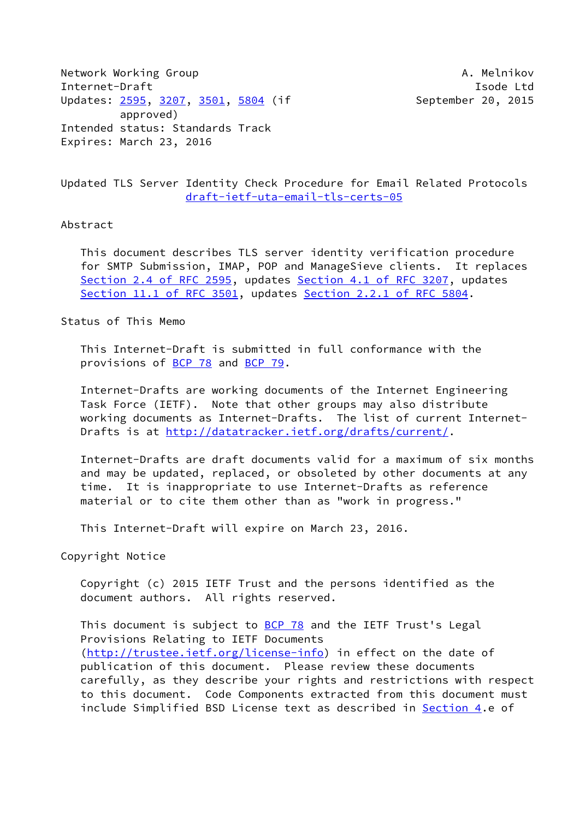Network Working Group **A. Melnikov** A. Melnikov Internet-Draft **Isolat Isom and Isom and Isolat Isolat Isolat Isolat Isolat Isolat Isolat Isolat Isolat Isolat Isolat Isolat Isolat Isolat Isolat Isolat Isolat Isolat Isolat Isolat Isolat Isolat Isolat Isolat Isolat Isolat** Updates: [2595](https://datatracker.ietf.org/doc/pdf/rfc2595), [3207,](https://datatracker.ietf.org/doc/pdf/rfc3207) [3501](https://datatracker.ietf.org/doc/pdf/rfc3501), [5804](https://datatracker.ietf.org/doc/pdf/rfc5804) (if September 20, 2015 approved) Intended status: Standards Track Expires: March 23, 2016

Updated TLS Server Identity Check Procedure for Email Related Protocols [draft-ietf-uta-email-tls-certs-05](https://datatracker.ietf.org/doc/pdf/draft-ietf-uta-email-tls-certs-05)

## Abstract

 This document describes TLS server identity verification procedure for SMTP Submission, IMAP, POP and ManageSieve clients. It replaces Section [2.4 of RFC 2595](https://datatracker.ietf.org/doc/pdf/rfc2595#section-2.4), updates Section [4.1 of RFC 3207](https://datatracker.ietf.org/doc/pdf/rfc3207#section-4.1), updates Section [11.1 of RFC 3501](https://datatracker.ietf.org/doc/pdf/rfc3501#section-11.1), updates Section [2.2.1 of RFC 5804.](https://datatracker.ietf.org/doc/pdf/rfc5804#section-2.2.1)

Status of This Memo

 This Internet-Draft is submitted in full conformance with the provisions of [BCP 78](https://datatracker.ietf.org/doc/pdf/bcp78) and [BCP 79](https://datatracker.ietf.org/doc/pdf/bcp79).

 Internet-Drafts are working documents of the Internet Engineering Task Force (IETF). Note that other groups may also distribute working documents as Internet-Drafts. The list of current Internet Drafts is at<http://datatracker.ietf.org/drafts/current/>.

 Internet-Drafts are draft documents valid for a maximum of six months and may be updated, replaced, or obsoleted by other documents at any time. It is inappropriate to use Internet-Drafts as reference material or to cite them other than as "work in progress."

This Internet-Draft will expire on March 23, 2016.

Copyright Notice

 Copyright (c) 2015 IETF Trust and the persons identified as the document authors. All rights reserved.

This document is subject to **[BCP 78](https://datatracker.ietf.org/doc/pdf/bcp78)** and the IETF Trust's Legal Provisions Relating to IETF Documents [\(http://trustee.ietf.org/license-info](http://trustee.ietf.org/license-info)) in effect on the date of publication of this document. Please review these documents carefully, as they describe your rights and restrictions with respect to this document. Code Components extracted from this document must include Simplified BSD License text as described in [Section 4.](#page-3-0)e of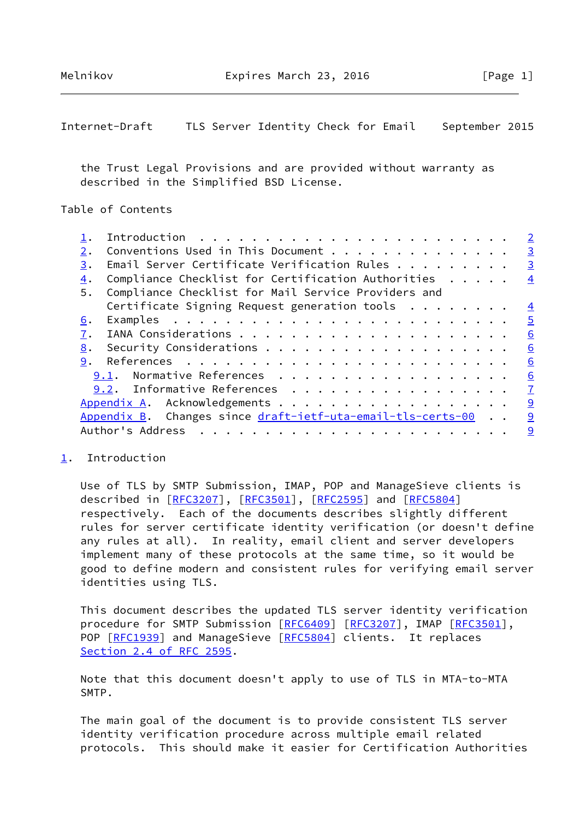<span id="page-1-1"></span>Internet-Draft TLS Server Identity Check for Email September 2015

 the Trust Legal Provisions and are provided without warranty as described in the Simplified BSD License.

Table of Contents

|    |                                                                 | $\overline{2}$  |
|----|-----------------------------------------------------------------|-----------------|
| 2. | Conventions Used in This Document                               | $\overline{3}$  |
| 3. | Email Server Certificate Verification Rules $\dots$ , $\dots$ , | $\overline{3}$  |
| 4. | Compliance Checklist for Certification Authorities              | $\overline{4}$  |
| 5. | Compliance Checklist for Mail Service Providers and             |                 |
|    | Certificate Signing Request generation tools $\dots \dots$      | $\overline{4}$  |
| 6. |                                                                 | $\overline{5}$  |
| 7. |                                                                 | $\underline{6}$ |
| 8. |                                                                 | $\underline{6}$ |
| 9. |                                                                 | $\underline{6}$ |
|    | Normative References<br>9.1.                                    | 6               |
|    | 9.2. Informative References                                     | $\overline{1}$  |
|    | Appendix A. Acknowledgements                                    | 9               |
|    | Appendix B. Changes since draft-ietf-uta-email-tls-certs-00     | 9               |
|    | Author's Address<br>.                                           | 9               |
|    |                                                                 |                 |

## <span id="page-1-0"></span>[1](#page-1-0). Introduction

 Use of TLS by SMTP Submission, IMAP, POP and ManageSieve clients is described in [\[RFC3207](https://datatracker.ietf.org/doc/pdf/rfc3207)], [\[RFC3501](https://datatracker.ietf.org/doc/pdf/rfc3501)], [[RFC2595\]](https://datatracker.ietf.org/doc/pdf/rfc2595) and [\[RFC5804](https://datatracker.ietf.org/doc/pdf/rfc5804)] respectively. Each of the documents describes slightly different rules for server certificate identity verification (or doesn't define any rules at all). In reality, email client and server developers implement many of these protocols at the same time, so it would be good to define modern and consistent rules for verifying email server identities using TLS.

 This document describes the updated TLS server identity verification procedure for SMTP Submission [[RFC6409](https://datatracker.ietf.org/doc/pdf/rfc6409)] [\[RFC3207](https://datatracker.ietf.org/doc/pdf/rfc3207)], IMAP [\[RFC3501](https://datatracker.ietf.org/doc/pdf/rfc3501)], POP [\[RFC1939](https://datatracker.ietf.org/doc/pdf/rfc1939)] and ManageSieve [[RFC5804](https://datatracker.ietf.org/doc/pdf/rfc5804)] clients. It replaces Section [2.4 of RFC 2595](https://datatracker.ietf.org/doc/pdf/rfc2595#section-2.4).

 Note that this document doesn't apply to use of TLS in MTA-to-MTA SMTP.

 The main goal of the document is to provide consistent TLS server identity verification procedure across multiple email related protocols. This should make it easier for Certification Authorities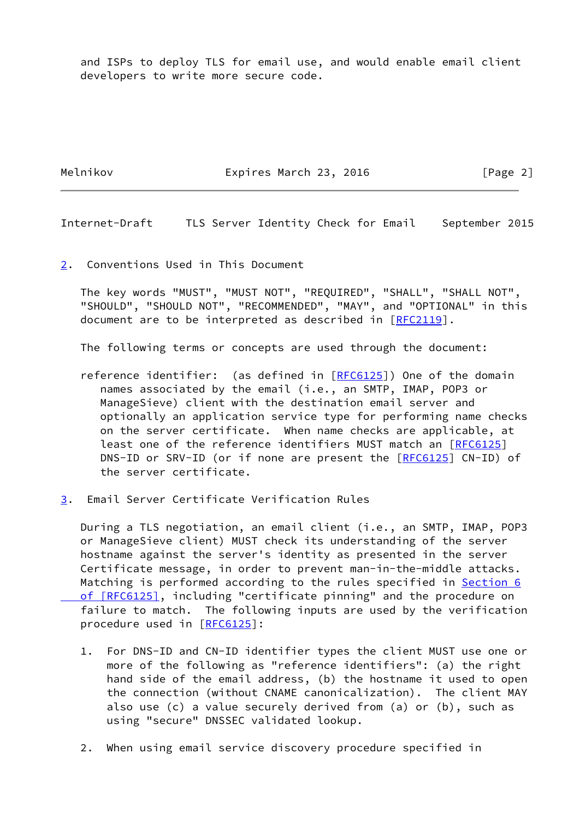and ISPs to deploy TLS for email use, and would enable email client developers to write more secure code.

Melnikov Expires March 23, 2016 [Page 2]

<span id="page-2-1"></span>Internet-Draft TLS Server Identity Check for Email September 2015

<span id="page-2-0"></span>[2](#page-2-0). Conventions Used in This Document

 The key words "MUST", "MUST NOT", "REQUIRED", "SHALL", "SHALL NOT", "SHOULD", "SHOULD NOT", "RECOMMENDED", "MAY", and "OPTIONAL" in this document are to be interpreted as described in [\[RFC2119](https://datatracker.ietf.org/doc/pdf/rfc2119)].

The following terms or concepts are used through the document:

- reference identifier: (as defined in [[RFC6125](https://datatracker.ietf.org/doc/pdf/rfc6125)]) One of the domain names associated by the email (i.e., an SMTP, IMAP, POP3 or ManageSieve) client with the destination email server and optionally an application service type for performing name checks on the server certificate. When name checks are applicable, at least one of the reference identifiers MUST match an [\[RFC6125](https://datatracker.ietf.org/doc/pdf/rfc6125)] DNS-ID or SRV-ID (or if none are present the [\[RFC6125](https://datatracker.ietf.org/doc/pdf/rfc6125)] CN-ID) of the server certificate.
- <span id="page-2-2"></span>[3](#page-2-2). Email Server Certificate Verification Rules

 During a TLS negotiation, an email client (i.e., an SMTP, IMAP, POP3 or ManageSieve client) MUST check its understanding of the server hostname against the server's identity as presented in the server Certificate message, in order to prevent man-in-the-middle attacks. Matching is performed according to the rules specified in **Section 6** of [RFC6125], including "certificate pinning" and the procedure on failure to match. The following inputs are used by the verification procedure used in [[RFC6125](https://datatracker.ietf.org/doc/pdf/rfc6125)]:

- 1. For DNS-ID and CN-ID identifier types the client MUST use one or more of the following as "reference identifiers": (a) the right hand side of the email address, (b) the hostname it used to open the connection (without CNAME canonicalization). The client MAY also use (c) a value securely derived from (a) or (b), such as using "secure" DNSSEC validated lookup.
- 2. When using email service discovery procedure specified in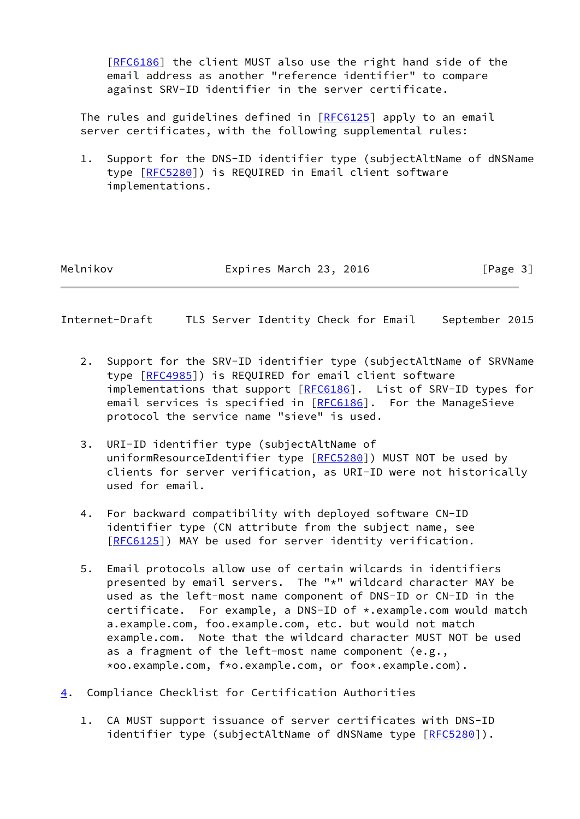[\[RFC6186](https://datatracker.ietf.org/doc/pdf/rfc6186)] the client MUST also use the right hand side of the email address as another "reference identifier" to compare against SRV-ID identifier in the server certificate.

 The rules and guidelines defined in [\[RFC6125](https://datatracker.ietf.org/doc/pdf/rfc6125)] apply to an email server certificates, with the following supplemental rules:

 1. Support for the DNS-ID identifier type (subjectAltName of dNSName type [\[RFC5280](https://datatracker.ietf.org/doc/pdf/rfc5280)]) is REQUIRED in Email client software implementations.

Melnikov **Expires March 23, 2016** [Page 3]

<span id="page-3-1"></span>Internet-Draft TLS Server Identity Check for Email September 2015

- 2. Support for the SRV-ID identifier type (subjectAltName of SRVName type [\[RFC4985](https://datatracker.ietf.org/doc/pdf/rfc4985)]) is REQUIRED for email client software implementations that support [\[RFC6186](https://datatracker.ietf.org/doc/pdf/rfc6186)]. List of SRV-ID types for email services is specified in [[RFC6186\]](https://datatracker.ietf.org/doc/pdf/rfc6186). For the ManageSieve protocol the service name "sieve" is used.
- 3. URI-ID identifier type (subjectAltName of uniformResourceIdentifier type [[RFC5280\]](https://datatracker.ietf.org/doc/pdf/rfc5280)) MUST NOT be used by clients for server verification, as URI-ID were not historically used for email.
- 4. For backward compatibility with deployed software CN-ID identifier type (CN attribute from the subject name, see [\[RFC6125](https://datatracker.ietf.org/doc/pdf/rfc6125)]) MAY be used for server identity verification.
- 5. Email protocols allow use of certain wilcards in identifiers presented by email servers. The "\*" wildcard character MAY be used as the left-most name component of DNS-ID or CN-ID in the certificate. For example, a DNS-ID of \*.example.com would match a.example.com, foo.example.com, etc. but would not match example.com. Note that the wildcard character MUST NOT be used as a fragment of the left-most name component (e.g., \*oo.example.com, f\*o.example.com, or foo\*.example.com).
- <span id="page-3-0"></span>[4](#page-3-0). Compliance Checklist for Certification Authorities
	- 1. CA MUST support issuance of server certificates with DNS-ID identifier type (subjectAltName of dNSName type [\[RFC5280](https://datatracker.ietf.org/doc/pdf/rfc5280)]).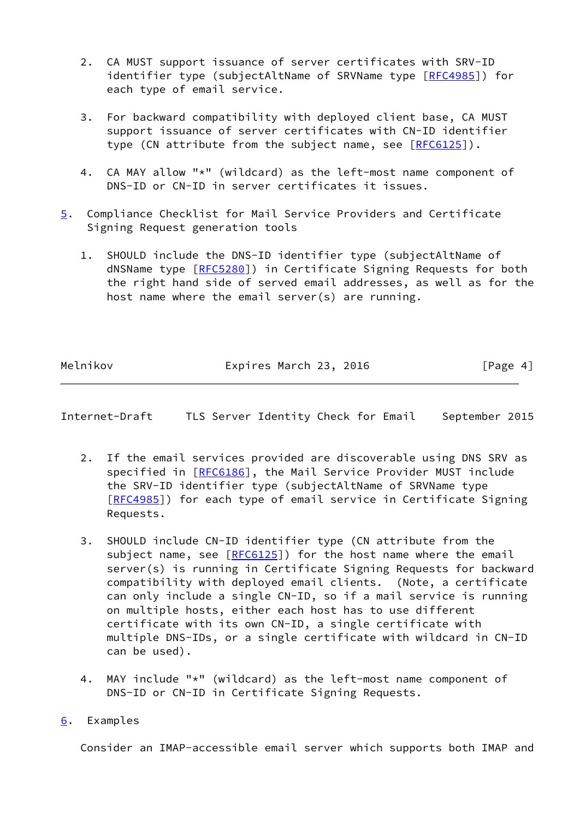- 2. CA MUST support issuance of server certificates with SRV-ID identifier type (subjectAltName of SRVName type [\[RFC4985](https://datatracker.ietf.org/doc/pdf/rfc4985)]) for each type of email service.
- 3. For backward compatibility with deployed client base, CA MUST support issuance of server certificates with CN-ID identifier type (CN attribute from the subject name, see [[RFC6125](https://datatracker.ietf.org/doc/pdf/rfc6125)]).
- 4. CA MAY allow "\*" (wildcard) as the left-most name component of DNS-ID or CN-ID in server certificates it issues.
- <span id="page-4-2"></span>[5](#page-4-2). Compliance Checklist for Mail Service Providers and Certificate Signing Request generation tools
	- 1. SHOULD include the DNS-ID identifier type (subjectAltName of dNSName type [\[RFC5280](https://datatracker.ietf.org/doc/pdf/rfc5280)]) in Certificate Signing Requests for both the right hand side of served email addresses, as well as for the host name where the email server(s) are running.

Melnikov **Expires March 23, 2016** [Page 4]

<span id="page-4-1"></span>Internet-Draft TLS Server Identity Check for Email September 2015

- 2. If the email services provided are discoverable using DNS SRV as specified in [\[RFC6186](https://datatracker.ietf.org/doc/pdf/rfc6186)], the Mail Service Provider MUST include the SRV-ID identifier type (subjectAltName of SRVName type [\[RFC4985](https://datatracker.ietf.org/doc/pdf/rfc4985)]) for each type of email service in Certificate Signing Requests.
- 3. SHOULD include CN-ID identifier type (CN attribute from the subject name, see  $[REG125]$  for the host name where the email server(s) is running in Certificate Signing Requests for backward compatibility with deployed email clients. (Note, a certificate can only include a single CN-ID, so if a mail service is running on multiple hosts, either each host has to use different certificate with its own CN-ID, a single certificate with multiple DNS-IDs, or a single certificate with wildcard in CN-ID can be used).
- 4. MAY include "\*" (wildcard) as the left-most name component of DNS-ID or CN-ID in Certificate Signing Requests.
- <span id="page-4-0"></span>[6](#page-4-0). Examples

Consider an IMAP-accessible email server which supports both IMAP and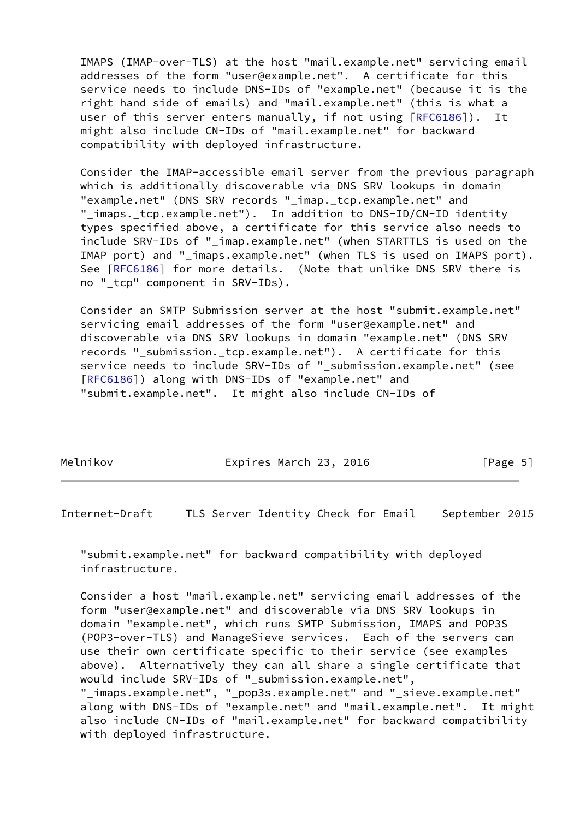IMAPS (IMAP-over-TLS) at the host "mail.example.net" servicing email addresses of the form "user@example.net". A certificate for this service needs to include DNS-IDs of "example.net" (because it is the right hand side of emails) and "mail.example.net" (this is what a user of this server enters manually, if not using [[RFC6186](https://datatracker.ietf.org/doc/pdf/rfc6186)]). It might also include CN-IDs of "mail.example.net" for backward compatibility with deployed infrastructure.

 Consider the IMAP-accessible email server from the previous paragraph which is additionally discoverable via DNS SRV lookups in domain "example.net" (DNS SRV records "\_imap.\_tcp.example.net" and "\_imaps.\_tcp.example.net"). In addition to DNS-ID/CN-ID identity types specified above, a certificate for this service also needs to include SRV-IDs of "\_imap.example.net" (when STARTTLS is used on the IMAP port) and "\_imaps.example.net" (when TLS is used on IMAPS port). See [\[RFC6186](https://datatracker.ietf.org/doc/pdf/rfc6186)] for more details. (Note that unlike DNS SRV there is no "\_tcp" component in SRV-IDs).

 Consider an SMTP Submission server at the host "submit.example.net" servicing email addresses of the form "user@example.net" and discoverable via DNS SRV lookups in domain "example.net" (DNS SRV records "\_submission.\_tcp.example.net"). A certificate for this service needs to include SRV-IDs of "\_submission.example.net" (see [\[RFC6186](https://datatracker.ietf.org/doc/pdf/rfc6186)]) along with DNS-IDs of "example.net" and "submit.example.net". It might also include CN-IDs of

Melnikov **Expires March 23, 2016** [Page 5]

<span id="page-5-0"></span>Internet-Draft TLS Server Identity Check for Email September 2015

 "submit.example.net" for backward compatibility with deployed infrastructure.

 Consider a host "mail.example.net" servicing email addresses of the form "user@example.net" and discoverable via DNS SRV lookups in domain "example.net", which runs SMTP Submission, IMAPS and POP3S (POP3-over-TLS) and ManageSieve services. Each of the servers can use their own certificate specific to their service (see examples above). Alternatively they can all share a single certificate that would include SRV-IDs of " submission.example.net", "\_imaps.example.net", "\_pop3s.example.net" and "\_sieve.example.net" along with DNS-IDs of "example.net" and "mail.example.net". It might also include CN-IDs of "mail.example.net" for backward compatibility with deployed infrastructure.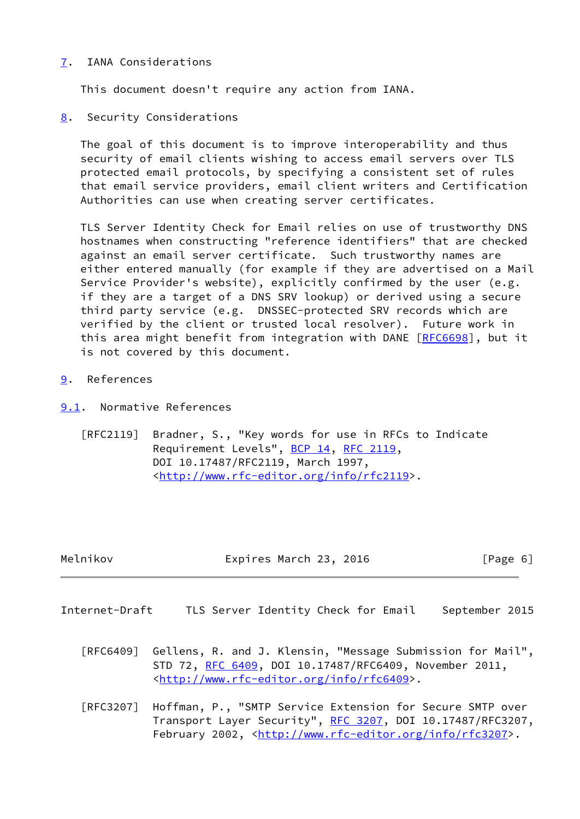## <span id="page-6-0"></span>[7](#page-6-0). IANA Considerations

This document doesn't require any action from IANA.

<span id="page-6-1"></span>[8](#page-6-1). Security Considerations

 The goal of this document is to improve interoperability and thus security of email clients wishing to access email servers over TLS protected email protocols, by specifying a consistent set of rules that email service providers, email client writers and Certification Authorities can use when creating server certificates.

 TLS Server Identity Check for Email relies on use of trustworthy DNS hostnames when constructing "reference identifiers" that are checked against an email server certificate. Such trustworthy names are either entered manually (for example if they are advertised on a Mail Service Provider's website), explicitly confirmed by the user (e.g. if they are a target of a DNS SRV lookup) or derived using a secure third party service (e.g. DNSSEC-protected SRV records which are verified by the client or trusted local resolver). Future work in this area might benefit from integration with DANE [[RFC6698\]](https://datatracker.ietf.org/doc/pdf/rfc6698), but it is not covered by this document.

- <span id="page-6-2"></span>[9](#page-6-2). References
- <span id="page-6-3"></span>[9.1](#page-6-3). Normative References
	- [RFC2119] Bradner, S., "Key words for use in RFCs to Indicate Requirement Levels", [BCP 14](https://datatracker.ietf.org/doc/pdf/bcp14), [RFC 2119](https://datatracker.ietf.org/doc/pdf/rfc2119), DOI 10.17487/RFC2119, March 1997, <<http://www.rfc-editor.org/info/rfc2119>>.

| Melnikov | Expires March 23, 2016 | [Page 6] |
|----------|------------------------|----------|
|          |                        |          |

- <span id="page-6-4"></span>Internet-Draft TLS Server Identity Check for Email September 2015
	- [RFC6409] Gellens, R. and J. Klensin, "Message Submission for Mail", STD 72, [RFC 6409,](https://datatracker.ietf.org/doc/pdf/rfc6409) DOI 10.17487/RFC6409, November 2011, <<http://www.rfc-editor.org/info/rfc6409>>.
	- [RFC3207] Hoffman, P., "SMTP Service Extension for Secure SMTP over Transport Layer Security", [RFC 3207](https://datatracker.ietf.org/doc/pdf/rfc3207), DOI 10.17487/RFC3207, February 2002, <<http://www.rfc-editor.org/info/rfc3207>>.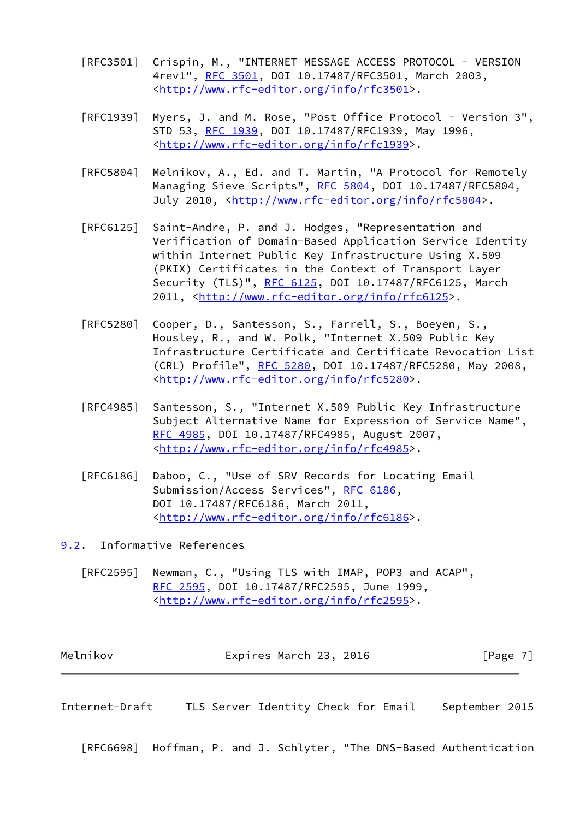- [RFC3501] Crispin, M., "INTERNET MESSAGE ACCESS PROTOCOL VERSION 4rev1", [RFC 3501,](https://datatracker.ietf.org/doc/pdf/rfc3501) DOI 10.17487/RFC3501, March 2003, <<http://www.rfc-editor.org/info/rfc3501>>.
- [RFC1939] Myers, J. and M. Rose, "Post Office Protocol Version 3", STD 53, [RFC 1939,](https://datatracker.ietf.org/doc/pdf/rfc1939) DOI 10.17487/RFC1939, May 1996, <<http://www.rfc-editor.org/info/rfc1939>>.
- [RFC5804] Melnikov, A., Ed. and T. Martin, "A Protocol for Remotely Managing Sieve Scripts", [RFC 5804,](https://datatracker.ietf.org/doc/pdf/rfc5804) DOI 10.17487/RFC5804, July 2010, <<http://www.rfc-editor.org/info/rfc5804>>.
- [RFC6125] Saint-Andre, P. and J. Hodges, "Representation and Verification of Domain-Based Application Service Identity within Internet Public Key Infrastructure Using X.509 (PKIX) Certificates in the Context of Transport Layer Security (TLS)", [RFC 6125,](https://datatracker.ietf.org/doc/pdf/rfc6125) DOI 10.17487/RFC6125, March 2011, [<http://www.rfc-editor.org/info/rfc6125](http://www.rfc-editor.org/info/rfc6125)>.
- [RFC5280] Cooper, D., Santesson, S., Farrell, S., Boeyen, S., Housley, R., and W. Polk, "Internet X.509 Public Key Infrastructure Certificate and Certificate Revocation List (CRL) Profile", [RFC 5280,](https://datatracker.ietf.org/doc/pdf/rfc5280) DOI 10.17487/RFC5280, May 2008, <<http://www.rfc-editor.org/info/rfc5280>>.
- [RFC4985] Santesson, S., "Internet X.509 Public Key Infrastructure Subject Alternative Name for Expression of Service Name", [RFC 4985,](https://datatracker.ietf.org/doc/pdf/rfc4985) DOI 10.17487/RFC4985, August 2007, <<http://www.rfc-editor.org/info/rfc4985>>.
- [RFC6186] Daboo, C., "Use of SRV Records for Locating Email Submission/Access Services", [RFC 6186](https://datatracker.ietf.org/doc/pdf/rfc6186), DOI 10.17487/RFC6186, March 2011, <<http://www.rfc-editor.org/info/rfc6186>>.

<span id="page-7-0"></span>[9.2](#page-7-0). Informative References

 [RFC2595] Newman, C., "Using TLS with IMAP, POP3 and ACAP", [RFC 2595,](https://datatracker.ietf.org/doc/pdf/rfc2595) DOI 10.17487/RFC2595, June 1999, <<http://www.rfc-editor.org/info/rfc2595>>.

| Melnikov | Expires March 23, 2016 | [Page 7] |  |
|----------|------------------------|----------|--|
|----------|------------------------|----------|--|

Internet-Draft TLS Server Identity Check for Email September 2015

[RFC6698] Hoffman, P. and J. Schlyter, "The DNS-Based Authentication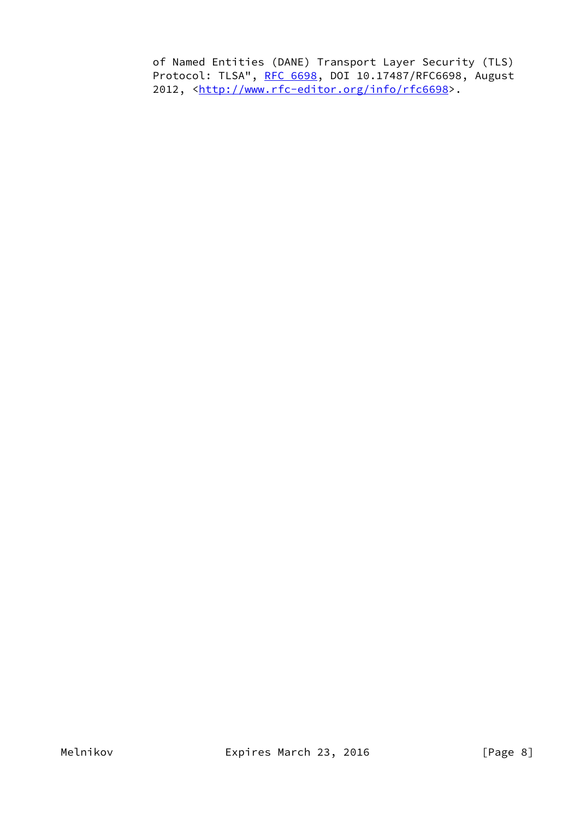of Named Entities (DANE) Transport Layer Security (TLS) Protocol: TLSA", [RFC 6698,](https://datatracker.ietf.org/doc/pdf/rfc6698) DOI 10.17487/RFC6698, August 2012, [<http://www.rfc-editor.org/info/rfc6698](http://www.rfc-editor.org/info/rfc6698)>.